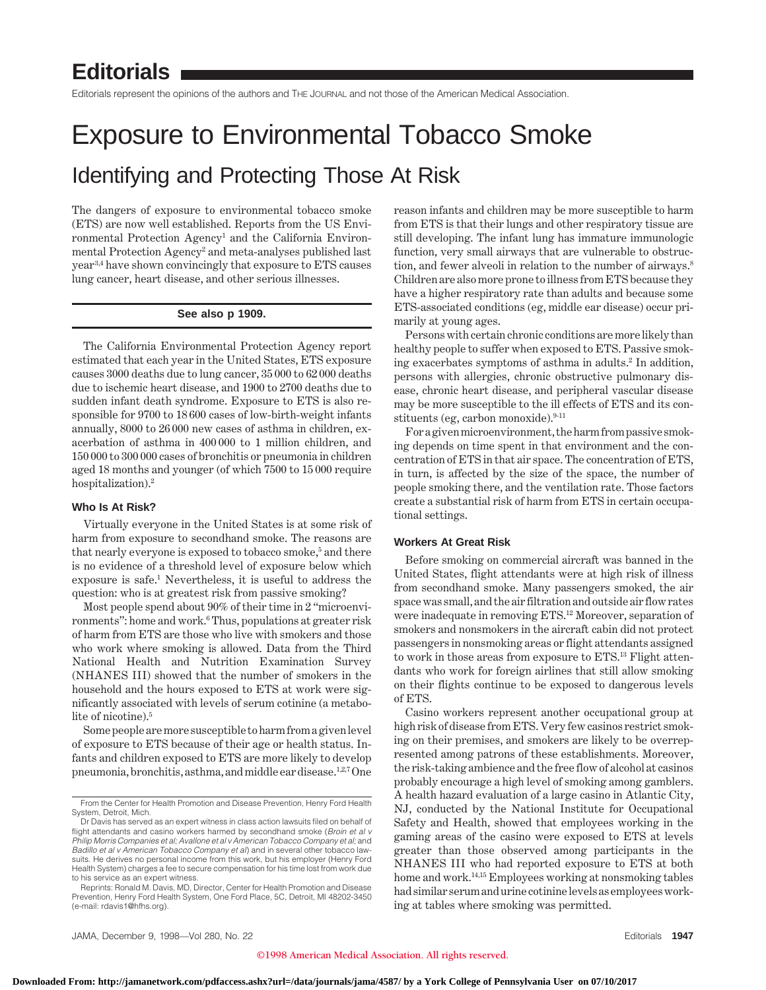Editorials represent the opinions of the authors and THE JOURNAL and not those of the American Medical Association.

# Exposure to Environmental Tobacco Smoke Identifying and Protecting Those At Risk

The dangers of exposure to environmental tobacco smoke (ETS) are now well established. Reports from the US Environmental Protection Agency<sup>1</sup> and the California Environmental Protection Agency2 and meta-analyses published last year3,4 have shown convincingly that exposure to ETS causes lung cancer, heart disease, and other serious illnesses.

## **See also p 1909.**

The California Environmental Protection Agency report estimated that each year in the United States, ETS exposure causes 3000 deaths due to lung cancer, 35 000 to 62 000 deaths due to ischemic heart disease, and 1900 to 2700 deaths due to sudden infant death syndrome. Exposure to ETS is also responsible for 9700 to 18 600 cases of low-birth-weight infants annually, 8000 to 26 000 new cases of asthma in children, exacerbation of asthma in 400 000 to 1 million children, and 150 000 to 300 000 cases of bronchitis or pneumonia in children aged 18 months and younger (of which 7500 to 15 000 require hospitalization).2

#### **Who Is At Risk?**

Virtually everyone in the United States is at some risk of harm from exposure to secondhand smoke. The reasons are that nearly everyone is exposed to tobacco smoke,<sup>5</sup> and there is no evidence of a threshold level of exposure below which exposure is safe.<sup>1</sup> Nevertheless, it is useful to address the question: who is at greatest risk from passive smoking?

Most people spend about 90% of their time in 2 "microenvironments": home and work.<sup>6</sup> Thus, populations at greater risk of harm from ETS are those who live with smokers and those who work where smoking is allowed. Data from the Third National Health and Nutrition Examination Survey (NHANES III) showed that the number of smokers in the household and the hours exposed to ETS at work were significantly associated with levels of serum cotinine (a metabolite of nicotine).<sup>5</sup>

Some people are more susceptible to harm from a given level of exposure to ETS because of their age or health status. Infants and children exposed to ETS are more likely to develop pneumonia, bronchitis, asthma, and middle ear disease.1,2,7One reason infants and children may be more susceptible to harm from ETS is that their lungs and other respiratory tissue are still developing. The infant lung has immature immunologic function, very small airways that are vulnerable to obstruction, and fewer alveoli in relation to the number of airways.<sup>8</sup> Children are also more prone to illness from ETS because they have a higher respiratory rate than adults and because some ETS-associated conditions (eg, middle ear disease) occur primarily at young ages.

Persons with certain chronic conditions are more likely than healthy people to suffer when exposed to ETS. Passive smoking exacerbates symptoms of asthma in adults.2 In addition, persons with allergies, chronic obstructive pulmonary disease, chronic heart disease, and peripheral vascular disease may be more susceptible to the ill effects of ETS and its constituents (eg, carbon monoxide).<sup>9-11</sup>

For a given microenvironment, the harm from passive smoking depends on time spent in that environment and the concentration of ETS in that air space. The concentration of ETS, in turn, is affected by the size of the space, the number of people smoking there, and the ventilation rate. Those factors create a substantial risk of harm from ETS in certain occupational settings.

#### **Workers At Great Risk**

Before smoking on commercial aircraft was banned in the United States, flight attendants were at high risk of illness from secondhand smoke. Many passengers smoked, the air space was small, and the air filtration and outside air flow rates were inadequate in removing ETS.12 Moreover, separation of smokers and nonsmokers in the aircraft cabin did not protect passengers in nonsmoking areas or flight attendants assigned to work in those areas from exposure to ETS.13 Flight attendants who work for foreign airlines that still allow smoking on their flights continue to be exposed to dangerous levels of ETS.

Casino workers represent another occupational group at high risk of disease from ETS. Very few casinos restrict smoking on their premises, and smokers are likely to be overrepresented among patrons of these establishments. Moreover, the risk-taking ambience and the free flow of alcohol at casinos probably encourage a high level of smoking among gamblers. A health hazard evaluation of a large casino in Atlantic City, NJ, conducted by the National Institute for Occupational Safety and Health, showed that employees working in the gaming areas of the casino were exposed to ETS at levels greater than those observed among participants in the NHANES III who had reported exposure to ETS at both home and work.<sup>14,15</sup> Employees working at nonsmoking tables had similar serum and urine cotinine levels as employees working at tables where smoking was permitted.

From the Center for Health Promotion and Disease Prevention, Henry Ford Health System, Detroit, Mich.

Dr Davis has served as an expert witness in class action lawsuits filed on behalf of flight attendants and casino workers harmed by secondhand smoke (Broin et al v Philip Morris Companies et al; Avallone et al <sup>v</sup> American Tobacco Company et al; and Badillo et al <sup>v</sup> American Tobacco Company et al) and in several other tobacco lawsuits. He derives no personal income from this work, but his employer (Henry Ford Health System) charges a fee to secure compensation for his time lost from work due to his service as an expert witness.

Reprints: Ronald M. Davis, MD, Director, Center for Health Promotion and Disease Prevention, Henry Ford Health System, One Ford Place, 5C, Detroit, MI 48202-3450 (e-mail: rdavis1@hfhs.org).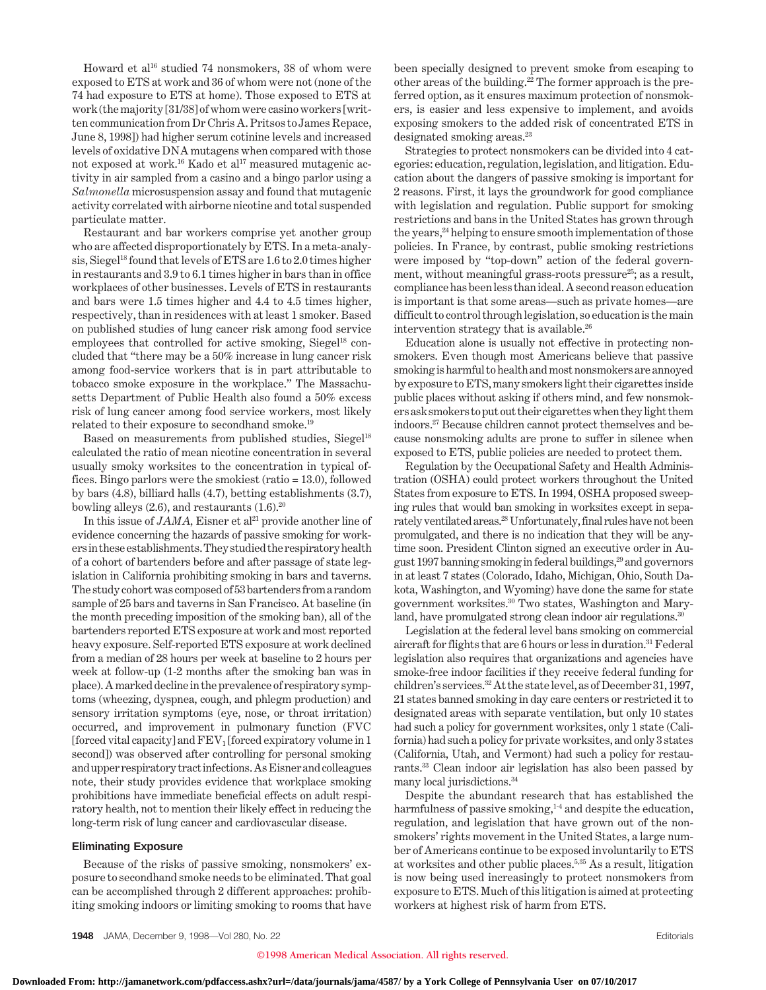Howard et al<sup>16</sup> studied 74 nonsmokers, 38 of whom were exposed to ETS at work and 36 of whom were not (none of the 74 had exposure to ETS at home). Those exposed to ETS at work (the majority [31/38] of whom were casino workers [written communication from Dr Chris A. Pritsos to James Repace, June 8, 1998]) had higher serum cotinine levels and increased levels of oxidative DNA mutagens when compared with those not exposed at work.<sup>16</sup> Kado et al<sup>17</sup> measured mutagenic activity in air sampled from a casino and a bingo parlor using a *Salmonella* microsuspension assay and found that mutagenic activity correlated with airborne nicotine and total suspended particulate matter.

Restaurant and bar workers comprise yet another group who are affected disproportionately by ETS. In a meta-analysis, Siegel<sup>18</sup> found that levels of ETS are  $1.6$  to  $2.0$  times higher in restaurants and 3.9 to 6.1 times higher in bars than in office workplaces of other businesses. Levels of ETS in restaurants and bars were 1.5 times higher and 4.4 to 4.5 times higher, respectively, than in residences with at least 1 smoker. Based on published studies of lung cancer risk among food service employees that controlled for active smoking, Siegel<sup>18</sup> concluded that "there may be a 50% increase in lung cancer risk among food-service workers that is in part attributable to tobacco smoke exposure in the workplace." The Massachusetts Department of Public Health also found a 50% excess risk of lung cancer among food service workers, most likely related to their exposure to secondhand smoke.19

Based on measurements from published studies, Siegel<sup>18</sup> calculated the ratio of mean nicotine concentration in several usually smoky worksites to the concentration in typical offices. Bingo parlors were the smokiest (ratio = 13.0), followed by bars (4.8), billiard halls (4.7), betting establishments (3.7), bowling alleys  $(2.6)$ , and restaurants  $(1.6)$ <sup>20</sup>

In this issue of *JAMA*, Eisner et al<sup>21</sup> provide another line of evidence concerning the hazards of passive smoking for workersintheseestablishments.Theystudiedtherespiratoryhealth of a cohort of bartenders before and after passage of state legislation in California prohibiting smoking in bars and taverns. The study cohort was composed of 53 bartenders from a random sample of 25 bars and taverns in San Francisco. At baseline (in the month preceding imposition of the smoking ban), all of the bartenders reported ETS exposure at work and most reported heavy exposure. Self-reported ETS exposure at work declined from a median of 28 hours per week at baseline to 2 hours per week at follow-up (1-2 months after the smoking ban was in place). A marked decline in the prevalence of respiratory symptoms (wheezing, dyspnea, cough, and phlegm production) and sensory irritation symptoms (eye, nose, or throat irritation) occurred, and improvement in pulmonary function (FVC [forced vital capacity] and  $FEV<sub>1</sub>$  [forced expiratory volume in 1 second]) was observed after controlling for personal smoking andupperrespiratorytractinfections.AsEisnerandcolleagues note, their study provides evidence that workplace smoking prohibitions have immediate beneficial effects on adult respiratory health, not to mention their likely effect in reducing the long-term risk of lung cancer and cardiovascular disease.

#### **Eliminating Exposure**

Because of the risks of passive smoking, nonsmokers' exposure to secondhand smoke needs to be eliminated. That goal can be accomplished through 2 different approaches: prohibiting smoking indoors or limiting smoking to rooms that have been specially designed to prevent smoke from escaping to other areas of the building.22 The former approach is the preferred option, as it ensures maximum protection of nonsmokers, is easier and less expensive to implement, and avoids exposing smokers to the added risk of concentrated ETS in designated smoking areas.<sup>23</sup>

Strategies to protect nonsmokers can be divided into 4 categories: education, regulation, legislation, and litigation. Education about the dangers of passive smoking is important for 2 reasons. First, it lays the groundwork for good compliance with legislation and regulation. Public support for smoking restrictions and bans in the United States has grown through the years,<sup>24</sup> helping to ensure smooth implementation of those policies. In France, by contrast, public smoking restrictions were imposed by "top-down" action of the federal government, without meaningful grass-roots pressure<sup>25</sup>; as a result, compliance has been less than ideal. A second reason education is important is that some areas—such as private homes—are difficult to control through legislation, so education is the main intervention strategy that is available.26

Education alone is usually not effective in protecting nonsmokers. Even though most Americans believe that passive smoking is harmful to health and most nonsmokers are annoyed by exposure to ETS, many smokers light their cigarettes inside public places without asking if others mind, and few nonsmokersasksmokerstoputouttheircigaretteswhentheylightthem indoors.27 Because children cannot protect themselves and because nonsmoking adults are prone to suffer in silence when exposed to ETS, public policies are needed to protect them.

Regulation by the Occupational Safety and Health Administration (OSHA) could protect workers throughout the United States from exposure to ETS. In 1994, OSHA proposed sweeping rules that would ban smoking in worksites except in separately ventilated areas.<sup>28</sup> Unfortunately, final rules have not been promulgated, and there is no indication that they will be anytime soon. President Clinton signed an executive order in August 1997 banning smoking in federal buildings,<sup>29</sup> and governors in at least 7 states (Colorado, Idaho, Michigan, Ohio, South Dakota, Washington, and Wyoming) have done the same for state government worksites.30 Two states, Washington and Maryland, have promulgated strong clean indoor air regulations.<sup>30</sup>

Legislation at the federal level bans smoking on commercial aircraft for flights that are 6 hours or less in duration.31 Federal legislation also requires that organizations and agencies have smoke-free indoor facilities if they receive federal funding for children's services.32At the state level, as of December 31, 1997, 21 states banned smoking in day care centers or restricted it to designated areas with separate ventilation, but only 10 states had such a policy for government worksites, only 1 state (California) had such a policy for private worksites, and only 3 states (California, Utah, and Vermont) had such a policy for restaurants.33 Clean indoor air legislation has also been passed by many local jurisdictions.34

Despite the abundant research that has established the harmfulness of passive smoking, $1-4$  and despite the education, regulation, and legislation that have grown out of the nonsmokers' rights movement in the United States, a large number of Americans continue to be exposed involuntarily to ETS at worksites and other public places.5,35 As a result, litigation is now being used increasingly to protect nonsmokers from exposure to ETS. Much of this litigation is aimed at protecting workers at highest risk of harm from ETS.